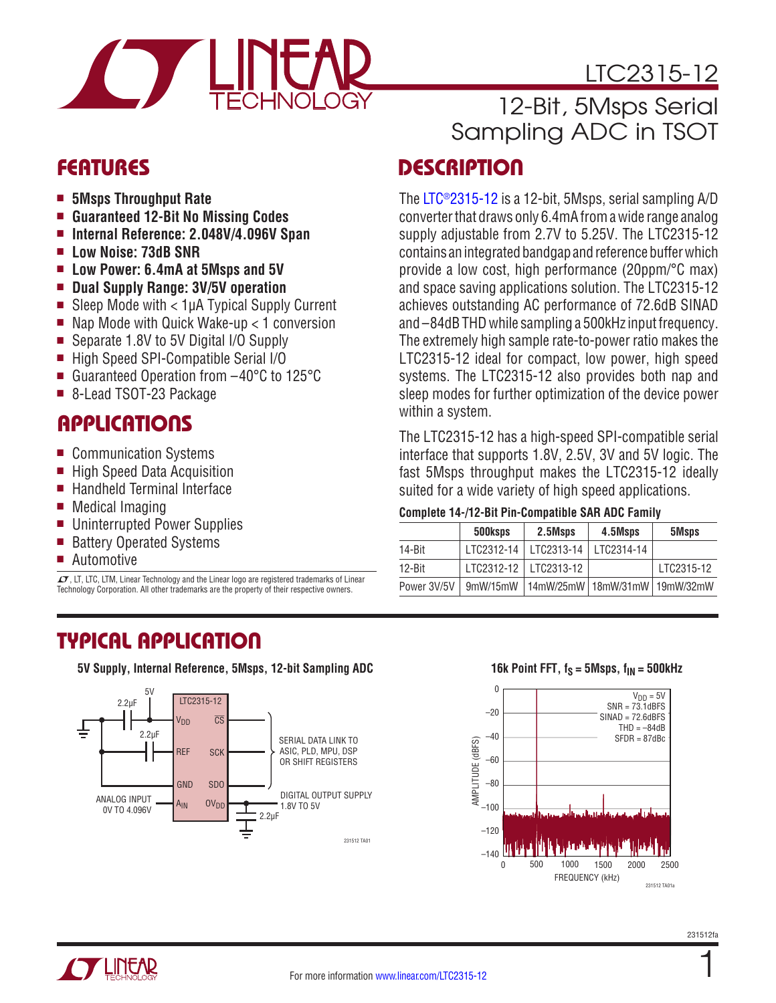

- <sup>n</sup> **5Msps Throughput Rate**
- <sup>n</sup> **Guaranteed 12-Bit No Missing Codes**
- Internal Reference: 2.048V/4.096V Span
- <sup>n</sup> **Low Noise: 73dB SNR**
- Low Power: 6.4mA at 5Msps and 5V
- <sup>n</sup> **Dual Supply Range: 3V/5V operation**
- Sleep Mode with  $<$  1µA Typical Supply Current
- Nap Mode with Quick Wake-up  $<$  1 conversion
- Separate 1.8V to 5V Digital I/O Supply
- High Speed SPI-Compatible Serial I/O
- Guaranteed Operation from -40°C to 125°C
- 8-Lead TSOT-23 Package

# **APPLICATIONS**

- Communication Systems
- High Speed Data Acquisition
- $\blacksquare$  Handheld Terminal Interface
- $\blacksquare$  Medical Imaging
- **Uninterrupted Power Supplies**
- Battery Operated Systems
- **Automotive**

 $\overline{LT}$ , LT, LTC, LTM, Linear Technology and the Linear logo are registered trademarks of Linear Technology Corporation. All other trademarks are the property of their respective owners.

# LTC2315-12 12-Bit, 5Msps Serial

# Sampling ADC in TSOT

# FEATURES DESCRIPTION

The [LTC®2315-12](http://www.linear.com/LTC2315-12) is a 12-bit, 5Msps, serial sampling A/D converter that draws only 6.4mA from a wide range analog supply adjustable from 2.7V to 5.25V. The LTC2315-12 contains an integrated bandgap and reference buffer which provide a low cost, high performance (20ppm/°C max) and space saving applications solution. The LTC2315-12 achieves outstanding AC performance of 72.6dB SINAD and –84dB THD while sampling a 500kHz input frequency. The extremely high sample rate-to-power ratio makes the LTC2315-12 ideal for compact, low power, high speed systems. The LTC2315-12 also provides both nap and sleep modes for further optimization of the device power within a system.

The LTC2315-12 has a high-speed SPI-compatible serial interface that supports 1.8V, 2.5V, 3V and 5V logic. The fast 5Msps throughput makes the LTC2315-12 ideally suited for a wide variety of high speed applications.

#### **Complete 14-/12-Bit Pin-Compatible SAR ADC Family**

|             | 500ksps    | 2.5Msps                                      | 4.5Msps    | 5Msps      |
|-------------|------------|----------------------------------------------|------------|------------|
| 14-Bit      | LTC2312-14 | LTC2313-14                                   | LTC2314-14 |            |
| $12 - Bit$  |            | LTC2312-12   LTC2313-12                      |            | LTC2315-12 |
| Power 3V/5V |            | 9mW/15mW   14mW/25mW   18mW/31mW   19mW/32mW |            |            |

# TYPICAL APPLICATION

**5V Supply, Internal Reference, 5Msps, 12-bit Sampling ADC**



#### **16k Point FFT,**  $f_S = 5Msps$ **,**  $f_{IN} = 500kHz$



1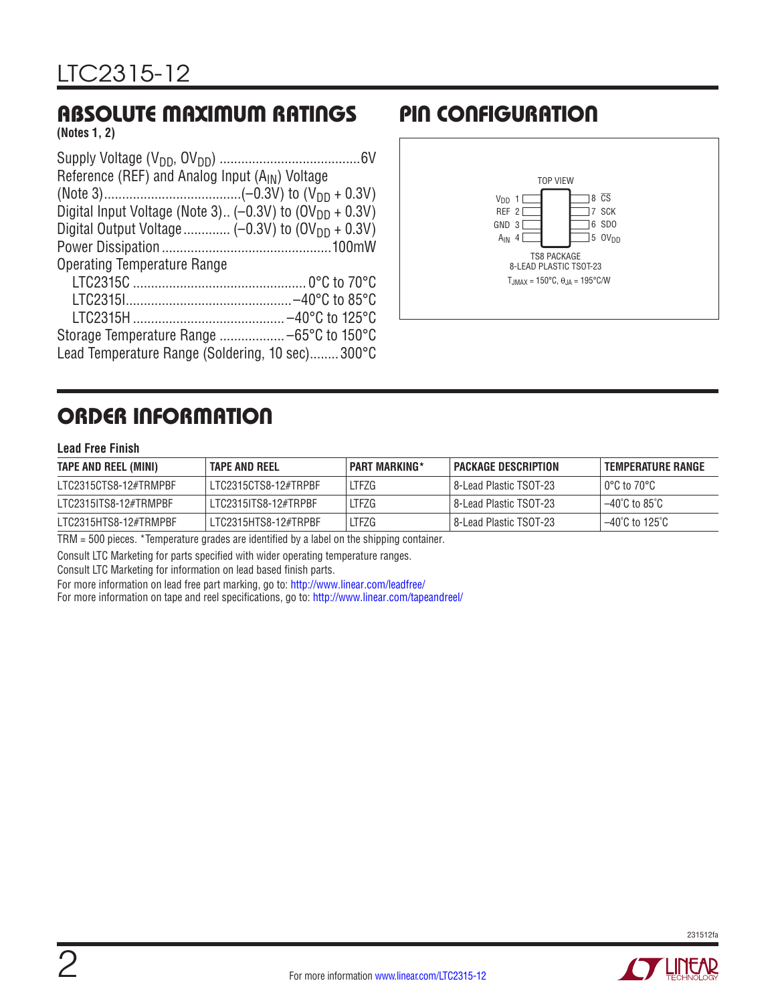# ABSOLUTE MAXIMUM RATINGS PIN CONFIGURATION

**(Notes 1, 2)**

| Reference (REF) and Analog Input $(A_{IN})$ Voltage                 |
|---------------------------------------------------------------------|
|                                                                     |
| Digital Input Voltage (Note 3) (-0.3V) to (OV <sub>DD</sub> + 0.3V) |
|                                                                     |
|                                                                     |
| Operating Temperature Range                                         |
|                                                                     |
|                                                                     |
|                                                                     |
|                                                                     |
| Lead Temperature Range (Soldering, 10 sec)300°C                     |



# ORDER INFORMATION

#### **Lead Free Finish**

| TAPE AND REEL (MINI)  | ' TAPE AND REEL      | <b>PART MARKING*</b> | I PACKAGE DESCRIPTION    | I TEMPERATURE RANGE                 |
|-----------------------|----------------------|----------------------|--------------------------|-------------------------------------|
| LTC2315CTS8-12#TRMPBF | LTC2315CTS8-12#TRPBF | LTFZG                | l 8-Lead Plastic TSOT-23 | l 0°C to 70°C l                     |
| LTC2315ITS8-12#TRMPBF | LTC2315ITS8-12#TRPBF | LTFZG                | 8-Lead Plastic TSOT-23   | $-40^{\circ}$ C to 85 $^{\circ}$ C  |
| LTC2315HTS8-12#TRMPBF | LTC2315HTS8-12#TRPBF | LTFZG                | 8-Lead Plastic TSOT-23   | $-40^{\circ}$ C to 125 $^{\circ}$ C |

TRM = 500 pieces. \*Temperature grades are identified by a label on the shipping container.

Consult LTC Marketing for parts specified with wider operating temperature ranges.

Consult LTC Marketing for information on lead based finish parts.

For more information on lead free part marking, go to: http://www.linear.com/leadfree/

For more information on tape and reel specifications, go to: http://www.linear.com/tapeandreel/



 $\bm{I}$   $\bm{V}$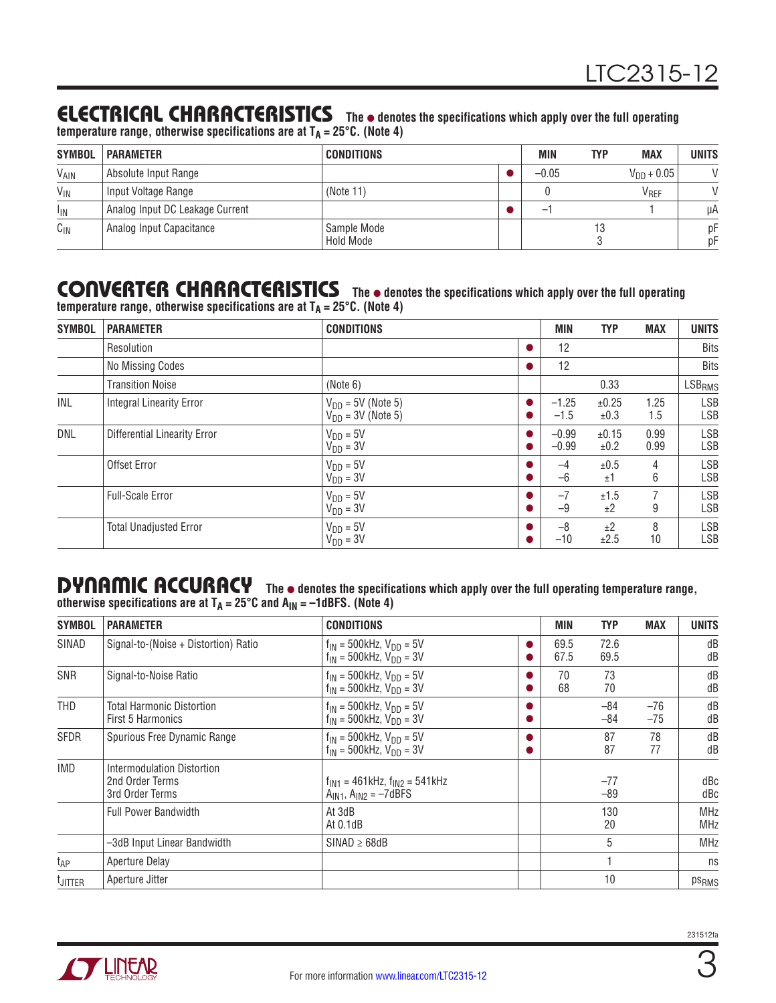### **ELECTRICAL CHARACTERISTICS** The  $\bullet$  denotes the specifications which apply over the full operating

temperature range, otherwise specifications are at T<sub>A</sub> = 25°C. (Note 4)

| <b>SYMBOL</b>   | <b>PARAMETER</b>                | <b>CONDITIONS</b>        | MIN                      | <b>TYP</b> | <b>MAX</b>       | <b>UNITS</b>  |
|-----------------|---------------------------------|--------------------------|--------------------------|------------|------------------|---------------|
| VAIN            | Absolute Input Range            |                          | $-0.05$                  |            | $V_{DD} + 0.05$  | $\mathcal{U}$ |
| $V_{\text{IN}}$ | Input Voltage Range             | (Note 11)                |                          |            | V <sub>REF</sub> |               |
| <sup>I</sup> IN | Analog Input DC Leakage Current |                          | $\overline{\phantom{m}}$ |            |                  | μA            |
| $C_{IN}$        | Analog Input Capacitance        | Sample Mode<br>Hold Mode |                          |            |                  | рF<br>pF      |

#### CONVERTER CHARACTERISTICS The  $\bullet$  denotes the specifications which apply over the full operating temperature range, otherwise specifications are at T<sub>A</sub> = 25°C. (Note 4)

| <b>SYMBOL</b> | <b>PARAMETER</b>                    | <b>CONDITIONS</b>                                | <b>MIN</b>         | <b>TYP</b>    | <b>MAX</b>   | <b>UNITS</b> |
|---------------|-------------------------------------|--------------------------------------------------|--------------------|---------------|--------------|--------------|
|               | Resolution                          |                                                  | 12                 |               |              | Bits         |
|               | No Missing Codes                    |                                                  | 12                 |               |              | <b>Bits</b>  |
|               | <b>Transition Noise</b>             | (Note 6)                                         |                    | 0.33          |              | $LSB_{RMS}$  |
| INL           | <b>Integral Linearity Error</b>     | $V_{DD}$ = 5V (Note 5)<br>$V_{DD}$ = 3V (Note 5) | $-1.25$<br>$-1.5$  | ±0.25<br>±0.3 | 1.25<br>1.5  | LSB<br>LSB   |
| DNL           | <b>Differential Linearity Error</b> | $V_{DD} = 5V$<br>$V_{DD} = 3V$                   | $-0.99$<br>$-0.99$ | ±0.15<br>±0.2 | 0.99<br>0.99 | LSB<br>LSB   |
|               | Offset Error                        | $V_{DD} = 5V$<br>$V_{DD} = 3V$                   | $-4$<br>$-6$       | ±0.5<br>±1    | 4<br>6       | LSB<br>LSB   |
|               | <b>Full-Scale Error</b>             | $V_{DD} = 5V$<br>$V_{DD} = 3V$                   | $-7$<br>$-9$       | ±1.5<br>±2    | 9            | LSB<br>LSB   |
|               | <b>Total Unadjusted Error</b>       | $V_{DD} = 5V$<br>$VDD = 3V$                      | $-8$<br>$-10$      | ±2<br>±2.5    | 8<br>10      | LSB<br>LSB   |

#### **DYNAMIC ACCURACY** The  $\bullet$  denotes the specifications which apply over the full operating temperature range, otherwise specifications are at T<sub>A</sub> = 25°C and A<sub>IN</sub> = –1dBFS. (Note 4)

| <b>SYMBOL</b>   | <b>PARAMETER</b>                                                 | <b>CONDITIONS</b>                                                     | <b>MIN</b>   | <b>TYP</b>     | <b>MAX</b>   | <b>UNITS</b>             |
|-----------------|------------------------------------------------------------------|-----------------------------------------------------------------------|--------------|----------------|--------------|--------------------------|
| SINAD           | Signal-to-(Noise + Distortion) Ratio                             | $f_{IN}$ = 500kHz, $V_{DD}$ = 5V<br>$f_{IN}$ = 500kHz, $V_{DD}$ = 3V  | 69.5<br>67.5 | 72.6<br>69.5   |              | dB<br>dB                 |
| SNR             | Signal-to-Noise Ratio                                            | $f_{IN}$ = 500kHz, $V_{DD}$ = 5V<br>$f_{IN} = 500$ kHz, $V_{DD} = 3V$ | 70<br>68     | 73<br>70       |              | dB<br>dB                 |
| THD             | Total Harmonic Distortion<br><b>First 5 Harmonics</b>            | $f_{IN}$ = 500kHz, $V_{DD}$ = 5V<br>$f_{IN}$ = 500kHz, $V_{DD}$ = 3V  |              | $-84$<br>$-84$ | -76<br>$-75$ | dB<br>dB                 |
| <b>SFDR</b>     | Spurious Free Dynamic Range                                      | $f_{IN}$ = 500kHz, $V_{DD}$ = 5V<br>$f_{IN}$ = 500kHz, $V_{DD}$ = 3V  |              | 87<br>87       | 78<br>77     | dB<br>dB                 |
| <b>IMD</b>      | Intermodulation Distortion<br>2nd Order Terms<br>3rd Order Terms | $f_{IN1}$ = 461kHz, $f_{IN2}$ = 541kHz<br>$AIN1$ , $AIN2 = -7dBFS$    |              | $-77$<br>$-89$ |              | dBc<br>dBc               |
|                 | <b>Full Power Bandwidth</b>                                      | At 3dB<br>At $0.1dB$                                                  |              | 130<br>20      |              | <b>MHz</b><br><b>MHz</b> |
|                 | -3dB Input Linear Bandwidth                                      | $SINAD \ge 68dB$                                                      |              | 5              |              | <b>MHz</b>               |
| t <sub>AP</sub> | Aperture Delay                                                   |                                                                       |              |                |              | ns                       |
| <b>L</b> JITTER | Aperture Jitter                                                  |                                                                       |              | 10             |              | ps <sub>RMS</sub>        |

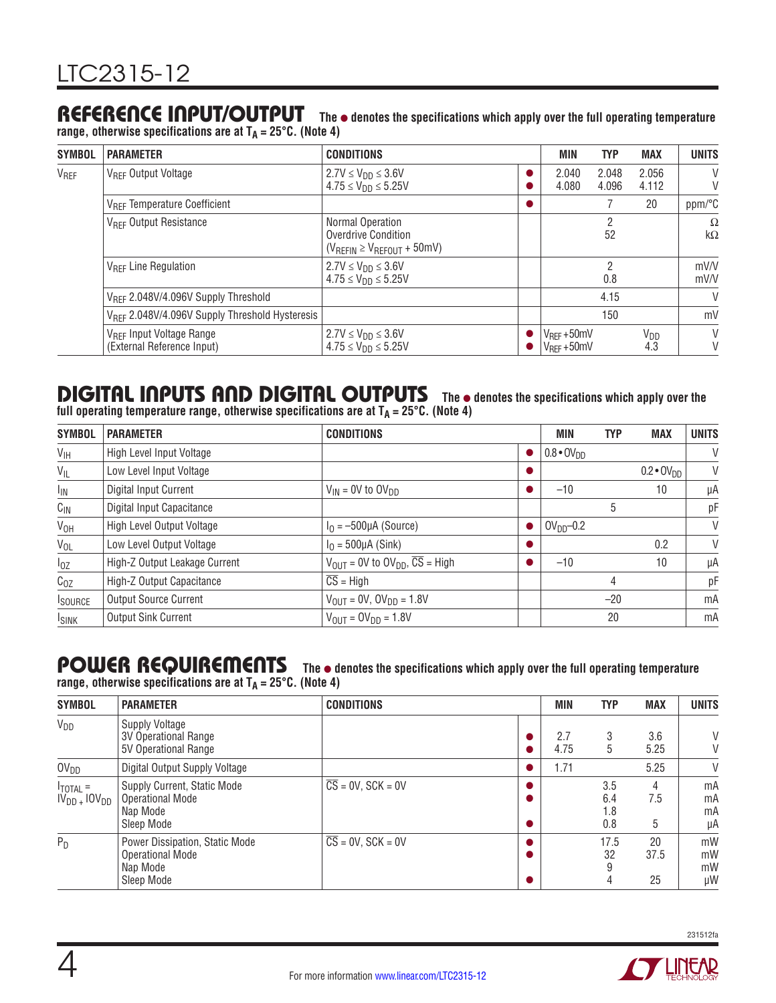### REFERENCE INPUT/OUTPUT The  $\bullet$  denotes the specifications which apply over the full operating temperature

**range, otherwise specifications are at TA = 25°C. (Note 4)**

| <b>SYMBOL</b>    | <b>PARAMETER</b>                                                   | <b>CONDITIONS</b>                                                                | MIN                                   | <b>TYP</b>     | <b>MAX</b>      | <b>UNITS</b>          |
|------------------|--------------------------------------------------------------------|----------------------------------------------------------------------------------|---------------------------------------|----------------|-----------------|-----------------------|
| V <sub>REF</sub> | V <sub>RFF</sub> Output Voltage                                    | $2.7V \le V_{DD} \le 3.6V$<br>$4.75 \le V_{DD} \le 5.25V$                        | 2.040<br>4.080                        | 2.048<br>4.096 | 2.056<br>4.112  | V<br>V                |
|                  | V <sub>RFF</sub> Temperature Coefficient                           |                                                                                  |                                       |                | 20              | ppm/°C                |
|                  | V <sub>REF</sub> Output Resistance                                 | Normal Operation<br>Overdrive Condition<br>$(V_{REFIN} \geq V_{REFOUT} + 50$ mV) |                                       | 2<br>52        |                 | $\Omega$<br>$k\Omega$ |
|                  | V <sub>RFF</sub> Line Regulation                                   | $2.7V \leq V_{DD} \leq 3.6V$<br>$4.75 \le V_{DD} \le 5.25V$                      |                                       | 2<br>0.8       |                 | mV/V<br>mV/V          |
|                  | V <sub>RFF</sub> 2.048V/4.096V Supply Threshold                    |                                                                                  |                                       | 4.15           |                 | $\vee$                |
|                  | V <sub>RFF</sub> 2.048V/4.096V Supply Threshold Hysteresis         |                                                                                  | 150                                   |                |                 | mV                    |
|                  | V <sub>REF</sub> Input Voltage Range<br>(External Reference Input) | $2.7V \le V_{DD} \le 3.6V$<br>$4.75 \le V_{DD} \le 5.25V$                        | $V_{REF} + 50mV$<br>$V_{RFF} + 50$ mV |                | $V_{DD}$<br>4.3 | V<br>V                |

# **DIGITAL INPUTS AND DIGITAL OUTPUTS** The  $\bullet$  denotes the specifications which apply over the

**full operating temperature range, otherwise specifications are at TA = 25°C. (Note 4)**

| <b>SYMBOL</b>   | <b>PARAMETER</b>              | <b>CONDITIONS</b>                                                  | <b>MIN</b>          | <b>TYP</b> | <b>MAX</b>            | <b>UNITS</b> |
|-----------------|-------------------------------|--------------------------------------------------------------------|---------------------|------------|-----------------------|--------------|
| $V_{\text{IH}}$ | High Level Input Voltage      |                                                                    | $0.8 \cdot 0V_{DD}$ |            |                       | V            |
| $V_{IL}$        | Low Level Input Voltage       |                                                                    |                     |            | $0.2 \cdot O(V_{DD})$ | V            |
| $I_{\text{IN}}$ | Digital Input Current         | $V_{IN}$ = 0V to $OV_{DD}$                                         | $-10$               |            | 10                    | μA           |
| $C_{1N}$        | Digital Input Capacitance     |                                                                    |                     | 5          |                       | pF           |
| $V_{OH}$        | High Level Output Voltage     | $I0 = -500 \mu A$ (Source)                                         | $OVDD-0.2$          |            |                       | V            |
| $V_{OL}$        | Low Level Output Voltage      | $I0$ = 500µA (Sink)                                                |                     |            | 0.2                   | V            |
| $I_{0Z}$        | High-Z Output Leakage Current | $V_{\text{OUT}} = 0V$ to $OV_{\text{DD}}$ , $\overline{CS}$ = High | $-10$               |            | 10                    | μA           |
| $C_{OZ}$        | High-Z Output Capacitance     | $\overline{\text{CS}}$ = High                                      |                     | 4          |                       | pF           |
| <b>I</b> SOURCE | <b>Output Source Current</b>  | $V_{\text{OUT}} = 0V, 0V_{\text{DD}} = 1.8V$                       |                     | $-20$      |                       | mA           |
| <b>I</b> SINK   | <b>Output Sink Current</b>    | $V_{\text{OUT}} = OV_{\text{DD}} = 1.8V$                           |                     | 20         |                       | mA           |

#### POWER REQUIREMENTS The  $\bullet$  denotes the specifications which apply over the full operating temperature range, otherwise specifications are at T<sub>A</sub> = 25°C. (Note 4)

| <b>SYMBOL</b>                                  | <b>PARAMETER</b>                                                                    | <b>CONDITIONS</b>              |  | <b>MIN</b>  | <b>TYP</b>               | <b>MAX</b>       | <b>UNITS</b>         |
|------------------------------------------------|-------------------------------------------------------------------------------------|--------------------------------|--|-------------|--------------------------|------------------|----------------------|
| $V_{DD}$                                       | <b>Supply Voltage</b><br>3V Operational Range<br>5V Operational Range               |                                |  | 2.7<br>4.75 | 3<br>5                   | 3.6<br>5.25      | V<br>V               |
| OV <sub>DD</sub>                               | Digital Output Supply Voltage                                                       |                                |  | 1.71        |                          | 5.25             | V                    |
| $I_{\text{TOTAL}}$ =<br>$IV_{DD}$ + $IOV_{DD}$ | Supply Current, Static Mode<br><b>Operational Mode</b><br>Nap Mode<br>Sleep Mode    | $\overline{CS}$ = 0V, SCK = 0V |  |             | 3.5<br>6.4<br>1.8<br>0.8 | 4<br>7.5<br>5    | mA<br>mA<br>mA<br>μA |
| $P_D$                                          | Power Dissipation, Static Mode<br><b>Operational Mode</b><br>Nap Mode<br>Sleep Mode | $CS = 0V$ , $SCK = 0V$         |  |             | 17.5<br>32<br>9<br>4     | 20<br>37.5<br>25 | mW<br>mW<br>mW<br>μW |



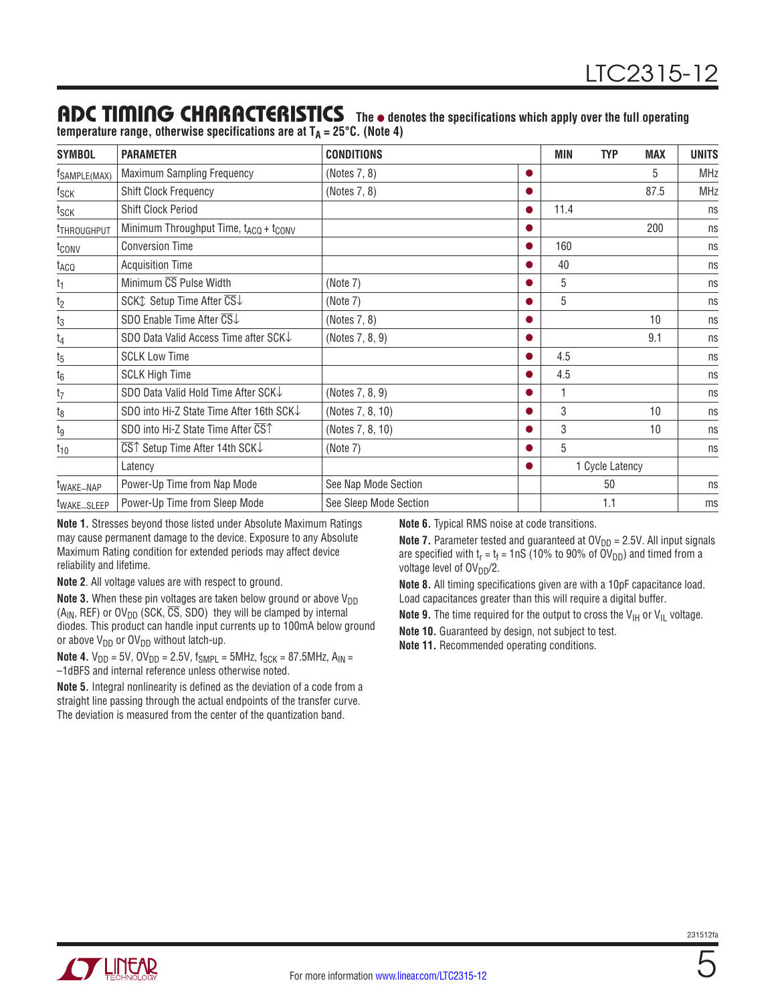### ADC TIMING CHARACTERISTICS The  $\bullet$  denotes the specifications which apply over the full operating

|  | temperature range, otherwise specifications are at $T_A = 25^{\circ}C$ . (Note 4) |  |
|--|-----------------------------------------------------------------------------------|--|
|--|-----------------------------------------------------------------------------------|--|

| <b>SYMBOL</b>           | <b>PARAMETER</b>                                                      | <b>CONDITIONS</b>      | MIN  | <b>TYP</b>      | <b>MAX</b> | <b>UNITS</b> |
|-------------------------|-----------------------------------------------------------------------|------------------------|------|-----------------|------------|--------------|
| TSAMPLE(MAX)            | <b>Maximum Sampling Frequency</b>                                     | (Notes 7, 8)           |      |                 | 5          | <b>MHz</b>   |
| tsck                    | <b>Shift Clock Frequency</b>                                          | (Notes 7, 8)           |      |                 | 87.5       | <b>MHz</b>   |
| t <sub>SCK</sub>        | <b>Shift Clock Period</b>                                             |                        | 11.4 |                 |            | ns           |
| <sup>t</sup> THROUGHPUT | Minimum Throughput Time, t <sub>ACQ</sub> + t <sub>CONV</sub>         |                        |      |                 | 200        | ns           |
| t <sub>conv</sub>       | <b>Conversion Time</b>                                                |                        | 160  |                 |            | ns           |
| t <sub>ACQ</sub>        | <b>Acquisition Time</b>                                               |                        | 40   |                 |            | ns           |
| t <sub>1</sub>          | Minimum CS Pulse Width                                                | (Note 7)               | 5    |                 |            | ns           |
| $12$                    | SCKt Setup Time After CS↓                                             | (Note 7)               | 5    |                 |            | ns           |
| $\frac{t_3}{2}$         | SDO Enable Time After $\overline{\text{CS}}\downarrow$                | (Notes 7, 8)           |      |                 | 10         | ns           |
| $t_4$                   | SDO Data Valid Access Time after SCK                                  | (Notes 7, 8, 9)        |      |                 | 9.1        | ns           |
| $t_5$                   | <b>SCLK Low Time</b>                                                  |                        | 4.5  |                 |            | ns           |
| $\frac{t_6}{}$          | <b>SCLK High Time</b>                                                 |                        | 4.5  |                 |            | ns           |
| $t_7$                   | SDO Data Valid Hold Time After SCK↓                                   | (Notes 7, 8, 9)        |      |                 |            | ns           |
| $t_8$                   | SDO into Hi-Z State Time After 16th SCK↓                              | (Notes 7, 8, 10)       | 3    |                 | 10         | ns           |
| tg                      | SDO into Hi-Z State Time After CST                                    | (Notes 7, 8, 10)       | 3    |                 | 10         | ns           |
| $t_{10}$                | $\overline{\text{CS}}\text{T}$ Setup Time After 14th SCK $\downarrow$ | (Note 7)               | 5    |                 |            | ns           |
|                         | Latency                                                               |                        |      | 1 Cycle Latency |            |              |
| t <sub>WAKE</sub> _NAP  | Power-Up Time from Nap Mode                                           | See Nap Mode Section   |      | 50              |            | ns           |
| twake_SLEEP             | Power-Up Time from Sleep Mode                                         | See Sleep Mode Section |      | 1.1             |            | ms           |

**Note 1.** Stresses beyond those listed under Absolute Maximum Ratings may cause permanent damage to the device. Exposure to any Absolute Maximum Rating condition for extended periods may affect device reliability and lifetime.

**Note 2**. All voltage values are with respect to ground.

**Note 3.** When these pin voltages are taken below ground or above  $V_{DD}$ (A<sub>IN</sub>, REF) or OV<sub>DD</sub> (SCK,  $\overline{CS}$ , SDO) they will be clamped by internal diodes. This product can handle input currents up to 100mA below ground or above  $V_{DD}$  or  $OV_{DD}$  without latch-up.

**Note 4.**  $V_{DD} = 5V$ ,  $OV_{DD} = 2.5V$ ,  $f_{SMPL} = 5MHz$ ,  $f_{SCK} = 87.5MHz$ ,  $A_{IN} =$ –1dBFS and internal reference unless otherwise noted.

**Note 5.** Integral nonlinearity is defined as the deviation of a code from a straight line passing through the actual endpoints of the transfer curve. The deviation is measured from the center of the quantization band.

**Note 6.** Typical RMS noise at code transitions.

**Note 7.** Parameter tested and guaranteed at  $OV<sub>DD</sub> = 2.5V$ . All input signals are specified with  $t_r = t_f = 1 \text{ nS}$  (10% to 90% of OV<sub>DD</sub>) and timed from a voltage level of OV<sub>DD</sub>/2.

**Note 8.** All timing specifications given are with a 10pF capacitance load. Load capacitances greater than this will require a digital buffer.

**Note 9.** The time required for the output to cross the  $V_{\text{IH}}$  or  $V_{\text{IL}}$  voltage.

**Note 10.** Guaranteed by design, not subject to test.

**Note 11.** Recommended operating conditions.

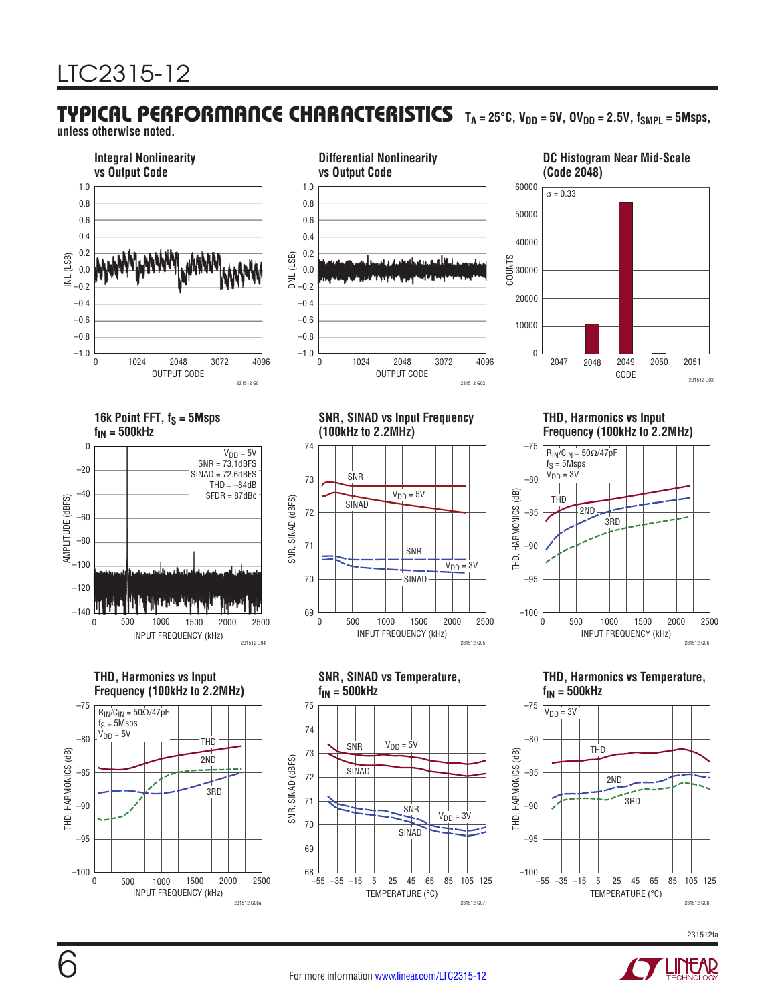# TYPICAL PERFORMANCE CHARACTERISTICS TA=25°C, V<sub>DD</sub>=5V, OV<sub>DD</sub>=2.5V, f<sub>SMPL</sub>=5Msps,

**unless otherwise noted.**

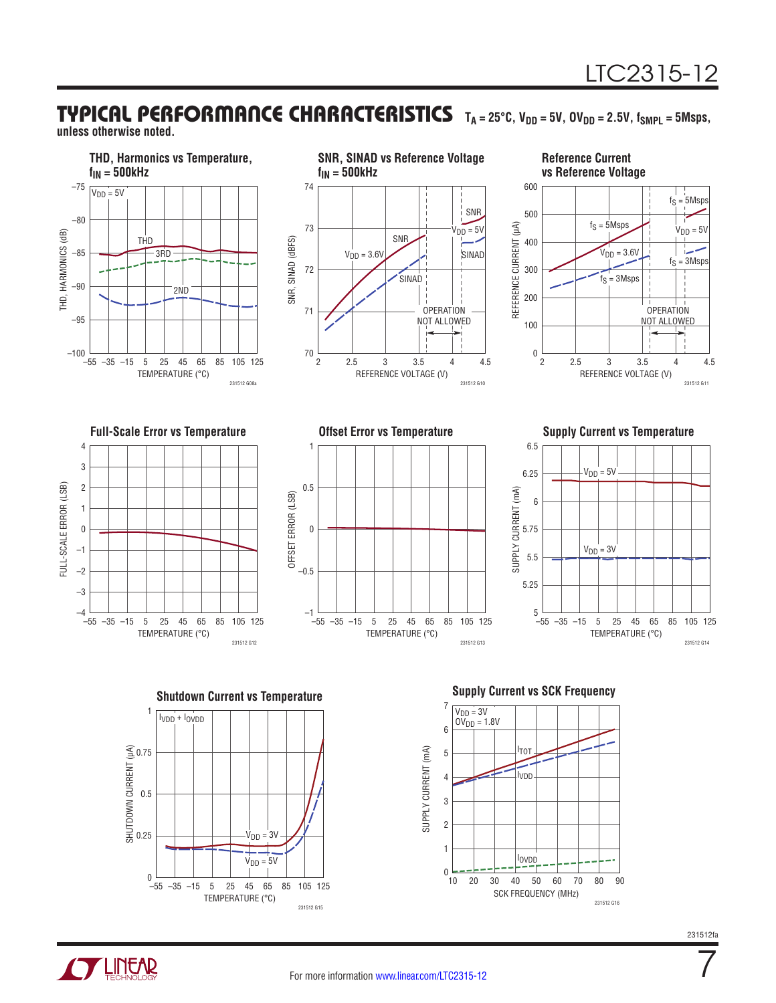## TYPICAL PERFORMANCE CHARACTERISTICS TA=25°C, V<sub>DD</sub>=5V, OV<sub>DD</sub>=2.5V, f<sub>SMPL</sub>=5Msps,

**unless otherwise noted.**





**TLINEAR** 



 $10$ 0

2

1

3

SCK FREQUENCY (MHz)

IOVDD

20 30 5040 7060 80 90

231512 G16

7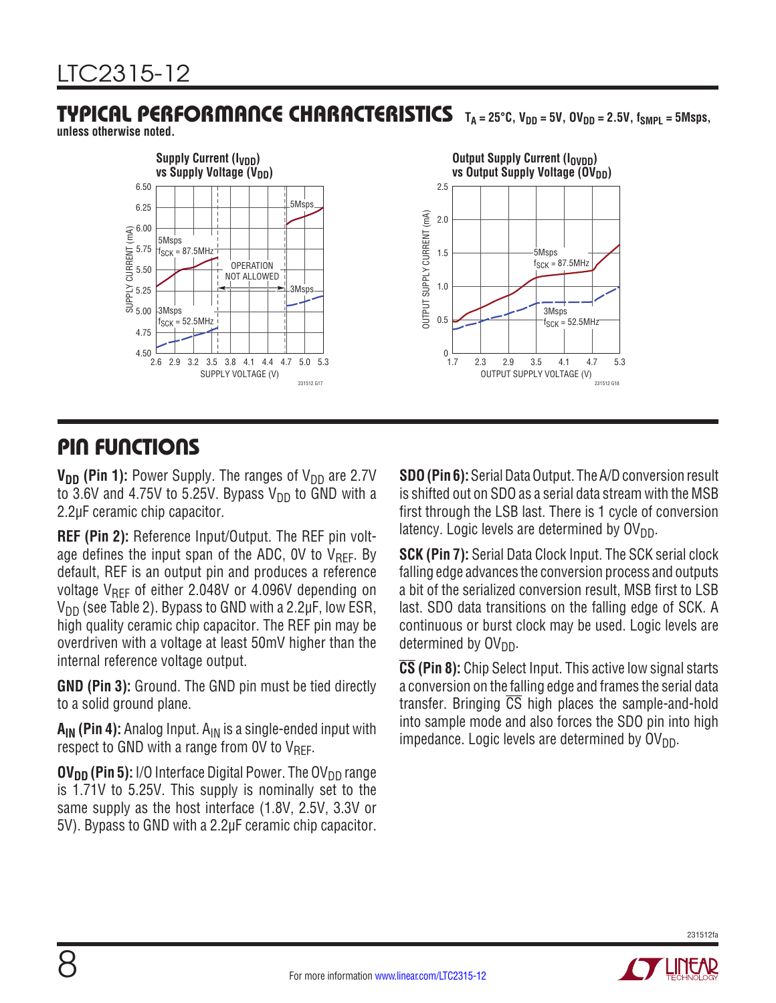# TYPICAL PERFORMANCE CHARACTERISTICS TA=25°C, V<sub>DD</sub>=5V, OV<sub>DD</sub>=2.5V, f<sub>SMPL</sub>=5Msps,

**unless otherwise noted.**



### PIN FUNCTIONS

**V<sub>DD</sub>** (Pin 1): Power Supply. The ranges of V<sub>DD</sub> are 2.7V to 3.6V and 4.75V to 5.25V. Bypass  $V_{DD}$  to GND with a 2.2µF ceramic chip capacitor.

**REF (Pin 2):** Reference Input/Output. The REF pin voltage defines the input span of the ADC, OV to  $V_{REF}$ . By default, REF is an output pin and produces a reference voltage  $V_{\text{RFF}}$  of either 2.048V or 4.096V depending on  $V_{DD}$  (see Table 2). Bypass to GND with a 2.2 $\mu$ F, low ESR, high quality ceramic chip capacitor. The REF pin may be overdriven with a voltage at least 50mV higher than the internal reference voltage output.

**GND (Pin 3):** Ground. The GND pin must be tied directly to a solid ground plane.

**A<sub>IN</sub> (Pin 4):** Analog Input. A<sub>IN</sub> is a single-ended input with respect to GND with a range from 0V to  $V_{\text{RFF}}$ .

 $\mathbf{O}V_{\mathbf{DD}}$  (Pin 5): I/O Interface Digital Power. The  $\mathbf{O}V_{\mathbf{DD}}$  range is 1.71V to 5.25V. This supply is nominally set to the same supply as the host interface (1.8V, 2.5V, 3.3V or 5V). Bypass to GND with a 2.2µF ceramic chip capacitor. **SDO (Pin 6):** Serial Data Output. The A/D conversion result is shifted out on SDO as a serial data stream with the MSB first through the LSB last. There is 1 cycle of conversion latency. Logic levels are determined by  $O(V_{DD})$ .

**SCK (Pin 7):** Serial Data Clock Input. The SCK serial clock falling edge advances the conversion process and outputs a bit of the serialized conversion result, MSB first to LSB last. SDO data transitions on the falling edge of SCK. A continuous or burst clock may be used. Logic levels are determined by  $\mathsf{OV}_{\mathsf{DD}}$ .

**CS (Pin 8):** Chip Select Input. This active low signal starts a conversion on the falling edge and frames the serial data transfer. Bringing  $\overline{CS}$  high places the sample-and-hold into sample mode and also forces the SDO pin into high impedance. Logic levels are determined by  $O(V_{DD})$ .

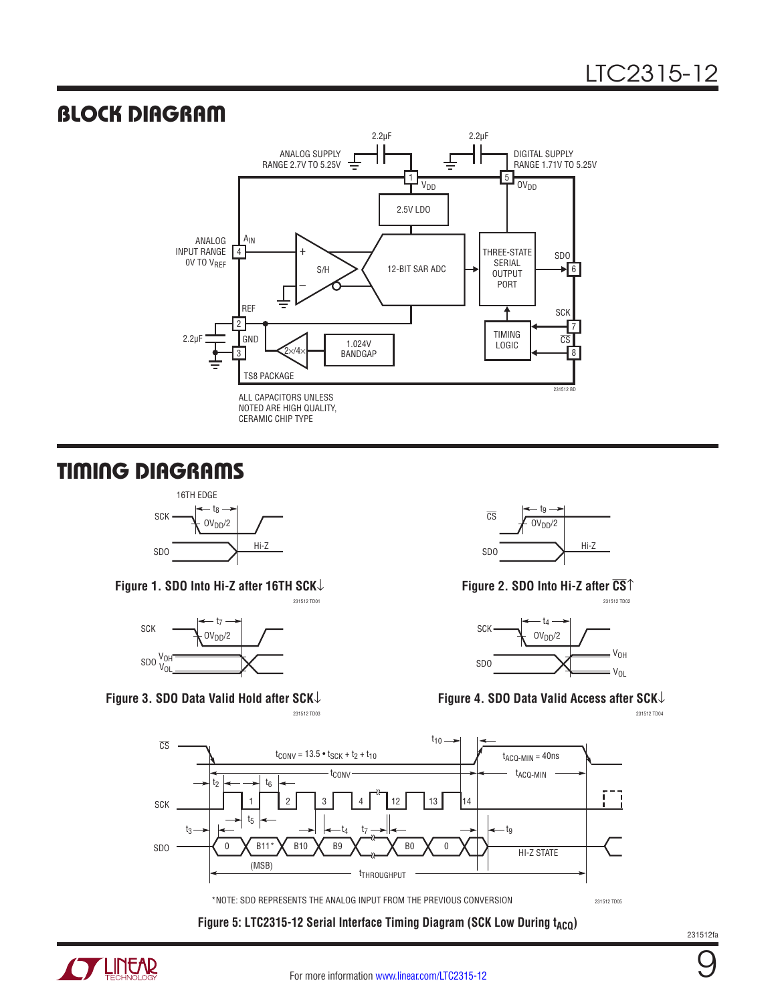### BLOCK DIAGRAM



## TIMING DIAGRAMS



**Figure 1. SDO Into Hi-Z after 16TH SCK**↓



**Figure 3. SDO Data Valid Hold after SCK**↓



**Figure 2. SDO Into Hi-Z after CS**↑



#### **Figure 4. SDO Data Valid Access after SCK**↓

231512 TD03 231512 TD04



Figure 5: LTC2315-12 Serial Interface Timing Diagram (SCK Low During t<sub>ACQ</sub>)



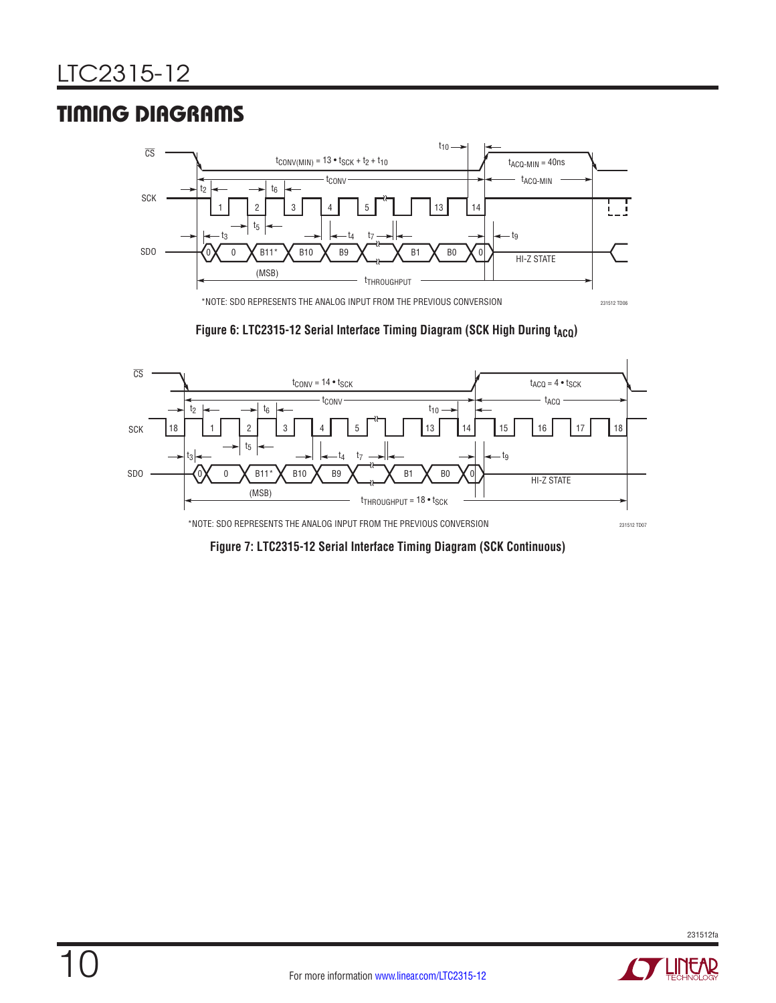# TIMING DIAGRAMS



Figure 6: LTC2315-12 Serial Interface Timing Diagram (SCK High During t<sub>ACQ</sub>)



**Figure 7: LTC2315-12 Serial Interface Timing Diagram (SCK Continuous)**

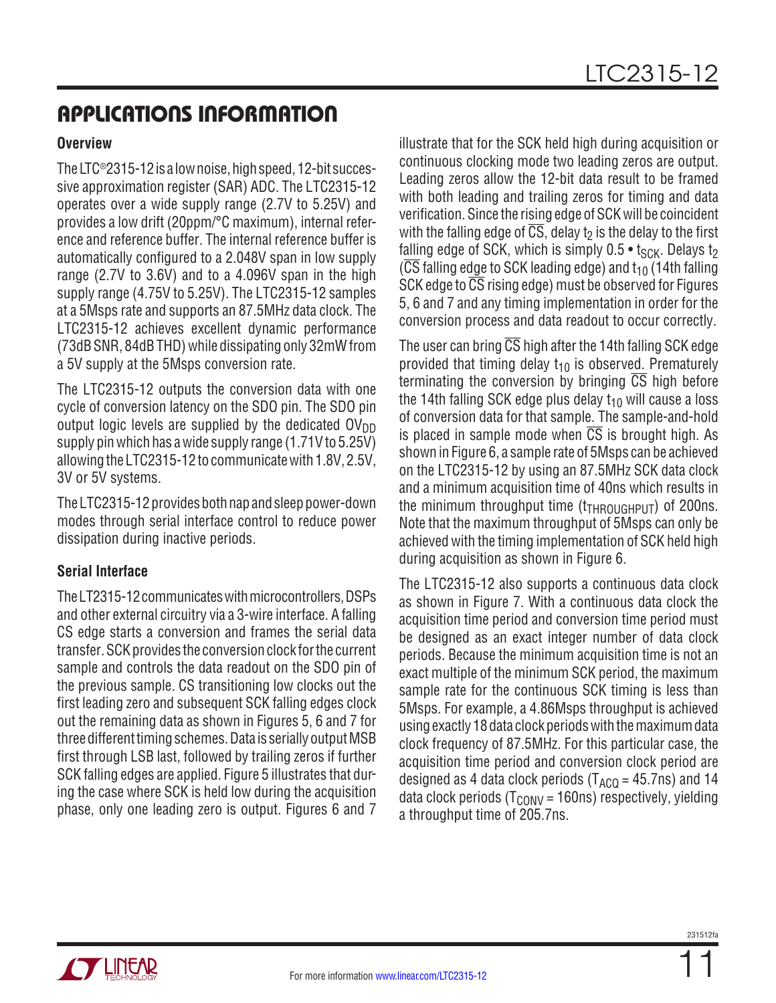#### **Overview**

TheLTC®2315-12 is a lownoise, highspeed, 12-bit successive approximation register (SAR) ADC. The LTC2315-12 operates over a wide supply range (2.7V to 5.25V) and provides a low drift (20ppm/°C maximum), internal reference and reference buffer. The internal reference buffer is automatically configured to a 2.048V span in low supply range (2.7V to 3.6V) and to a 4.096V span in the high supply range (4.75V to 5.25V). The LTC2315-12 samples at a 5Msps rate and supports an 87.5MHz data clock. The LTC2315-12 achieves excellent dynamic performance (73dB SNR, 84dB THD) while dissipating only 32mW from a 5V supply at the 5Msps conversion rate.

The LTC2315-12 outputs the conversion data with one cycle of conversion latency on the SDO pin. The SDO pin output logic levels are supplied by the dedicated  $\text{OV}_{DD}$ supply pin which has a wide supply range (1.71V to 5.25V) allowing the LTC2315-12 to communicate with 1.8V, 2.5V, 3V or 5V systems.

The LTC2315-12 provides both nap and sleep power-down modes through serial interface control to reduce power dissipation during inactive periods.

#### **Serial Interface**

TheLT2315-12 communicateswithmicrocontrollers, DSPs and other external circuitry via a 3-wire interface. A falling CS edge starts a conversion and frames the serial data transfer. SCK provides the conversion clock for the current sample and controls the data readout on the SDO pin of the previous sample. CS transitioning low clocks out the first leading zero and subsequent SCK falling edges clock out the remaining data as shown in Figures 5, 6 and 7 for three different timing schemes. Data is serially output MSB first through LSB last, followed by trailing zeros if further SCK falling edges are applied. Figure 5 illustrates that during the case where SCK is held low during the acquisition phase, only one leading zero is output. Figures 6 and 7

illustrate that for the SCK held high during acquisition or continuous clocking mode two leading zeros are output. Leading zeros allow the 12-bit data result to be framed with both leading and trailing zeros for timing and data verification. Since the rising edge of SCK will be coincident with the falling edge of  $\overline{CS}$ , delay t<sub>2</sub> is the delay to the first falling edge of SCK, which is simply  $0.5 \cdot t_{SCK}$ . Delays t<sub>2</sub>  $(\overline{CS}$  falling edge to SCK leading edge) and t<sub>10</sub> (14th falling SCK edge to CS rising edge) must be observed for Figures 5, 6 and 7 and any timing implementation in order for the conversion process and data readout to occur correctly.

The user can bring  $\overline{CS}$  high after the 14th falling SCK edge provided that timing delay  $t_{10}$  is observed. Prematurely terminating the conversion by bringing  $\overline{CS}$  high before the 14th falling SCK edge plus delay  $t_{10}$  will cause a loss of conversion data for that sample. The sample-and-hold is placed in sample mode when  $\overline{CS}$  is brought high. As shown in Figure 6, a sample rate of 5Msps can be achieved on the LTC2315-12 by using an 87.5MHz SCK data clock and a minimum acquisition time of 40ns which results in the minimum throughput time  $(t_{THROIIGHPIT})$  of 200ns. Note that the maximum throughput of 5Msps can only be achieved with the timing implementation of SCK held high during acquisition as shown in Figure 6.

The LTC2315-12 also supports a continuous data clock as shown in Figure 7. With a continuous data clock the acquisition time period and conversion time period must be designed as an exact integer number of data clock periods. Because the minimum acquisition time is not an exact multiple of the minimum SCK period, the maximum sample rate for the continuous SCK timing is less than 5Msps. For example, a 4.86Msps throughput is achieved using exactly 18 data clock periods with the maximum data clock frequency of 87.5MHz. For this particular case, the acquisition time period and conversion clock period are designed as 4 data clock periods ( $T_{ACQ}$  = 45.7ns) and 14 data clock periods ( $T_{\text{CONV}}$  = 160ns) respectively, yielding a throughput time of 205.7ns.

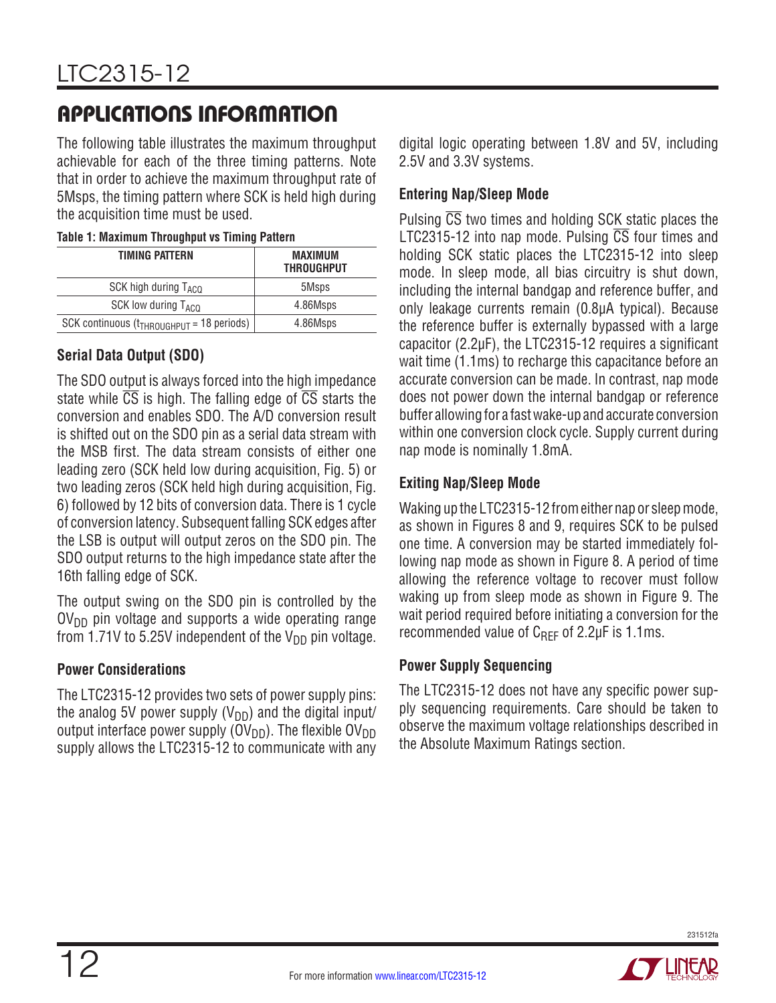The following table illustrates the maximum throughput achievable for each of the three timing patterns. Note that in order to achieve the maximum throughput rate of 5Msps, the timing pattern where SCK is held high during the acquisition time must be used.

|  |  |  | Table 1: Maximum Throughput vs Timing Pattern |
|--|--|--|-----------------------------------------------|
|--|--|--|-----------------------------------------------|

| <b>TIMING PATTERN</b>                          | MAXIMUM<br><b>THROUGHPUT</b> |
|------------------------------------------------|------------------------------|
| SCK high during T <sub>ACO</sub>               | 5Msps                        |
| SCK low during T <sub>ACQ</sub>                | 4.86Msps                     |
| SCK continuous $(t_{THROUGHPUT} = 18$ periods) | 4.86Msps                     |

#### **Serial Data Output (SDO)**

The SDO output is always forced into the high impedance state while  $\overline{CS}$  is high. The falling edge of  $\overline{CS}$  starts the conversion and enables SDO. The A/D conversion result is shifted out on the SDO pin as a serial data stream with the MSB first. The data stream consists of either one leading zero (SCK held low during acquisition, Fig. 5) or two leading zeros (SCK held high during acquisition, Fig. 6) followed by 12 bits of conversion data. There is 1 cycle of conversion latency. Subsequent falling SCK edges after the LSB is output will output zeros on the SDO pin. The SDO output returns to the high impedance state after the 16th falling edge of SCK.

The output swing on the SDO pin is controlled by the  $O(V_{DD}$  pin voltage and supports a wide operating range from 1.71V to 5.25V independent of the  $V_{DD}$  pin voltage.

#### **Power Considerations**

The LTC2315-12 provides two sets of power supply pins: the analog 5V power supply  $(V_{DD})$  and the digital input/ output interface power supply ( $\text{OV}_{\text{DD}}$ ). The flexible  $\text{OV}_{\text{DD}}$ supply allows the LTC2315-12 to communicate with any digital logic operating between 1.8V and 5V, including 2.5V and 3.3V systems.

#### **Entering Nap/Sleep Mode**

Pulsing CS two times and holding SCK static places the LTC2315-12 into nap mode. Pulsing  $\overline{CS}$  four times and holding SCK static places the LTC2315-12 into sleep mode. In sleep mode, all bias circuitry is shut down, including the internal bandgap and reference buffer, and only leakage currents remain (0.8µA typical). Because the reference buffer is externally bypassed with a large capacitor (2.2µF), the LTC2315-12 requires a significant wait time (1.1ms) to recharge this capacitance before an accurate conversion can be made. In contrast, nap mode does not power down the internal bandgap or reference buffer allowing for a fast wake-up and accurate conversion within one conversion clock cycle. Supply current during nap mode is nominally 1.8mA.

#### **Exiting Nap/Sleep Mode**

Waking up the LTC2315-12 from either nap or sleep mode, as shown in Figures 8 and 9, requires SCK to be pulsed one time. A conversion may be started immediately following nap mode as shown in Figure 8. A period of time allowing the reference voltage to recover must follow waking up from sleep mode as shown in Figure 9. The wait period required before initiating a conversion for the recommended value of  $C_{REF}$  of 2.2 $\mu$ F is 1.1ms.

#### **Power Supply Sequencing**

The LTC2315-12 does not have any specific power supply sequencing requirements. Care should be taken to observe the maximum voltage relationships described in the Absolute Maximum Ratings section.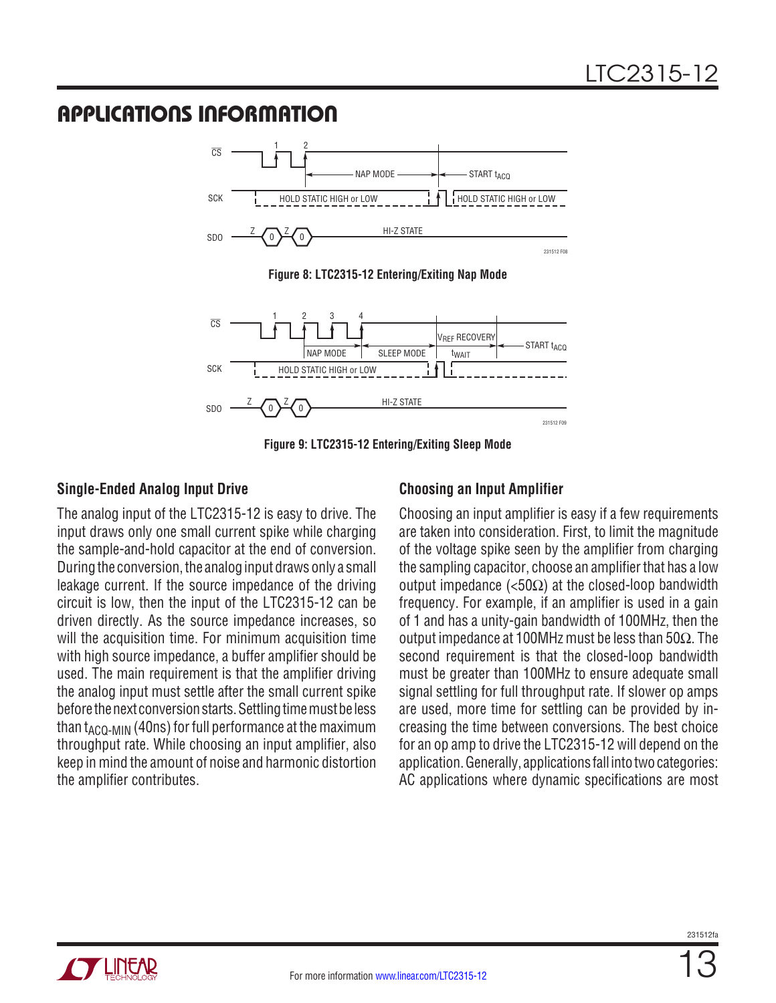

**Figure 9: LTC2315-12 Entering/Exiting Sleep Mode**

#### **Single-Ended Analog Input Drive**

The analog input of the LTC2315-12 is easy to drive. The input draws only one small current spike while charging the sample-and-hold capacitor at the end of conversion. During the conversion, the analog input draws only a small leakage current. If the source impedance of the driving circuit is low, then the input of the LTC2315-12 can be driven directly. As the source impedance increases, so will the acquisition time. For minimum acquisition time with high source impedance, a buffer amplifier should be used. The main requirement is that the amplifier driving the analog input must settle after the small current spike before the next conversion starts. Settling time must be less than  $t_{ACO-MIN}$  (40ns) for full performance at the maximum throughput rate. While choosing an input amplifier, also keep in mind the amount of noise and harmonic distortion the amplifier contributes.

#### **Choosing an Input Amplifier**

Choosing an input amplifier is easy if a few requirements are taken into consideration. First, to limit the magnitude of the voltage spike seen by the amplifier from charging the sampling capacitor, choose an amplifier that has a low output impedance (<50Ω) at the closed-loop bandwidth frequency. For example, if an amplifier is used in a gain of 1 and has a unity-gain bandwidth of 100MHz, then the output impedance at 100MHz must be less than 50Ω. The second requirement is that the closed-loop bandwidth must be greater than 100MHz to ensure adequate small signal settling for full throughput rate. If slower op amps are used, more time for settling can be provided by increasing the time between conversions. The best choice for an op amp to drive the LTC2315-12 will depend on the application. Generally, applications fall into two categories: AC applications where dynamic specifications are most

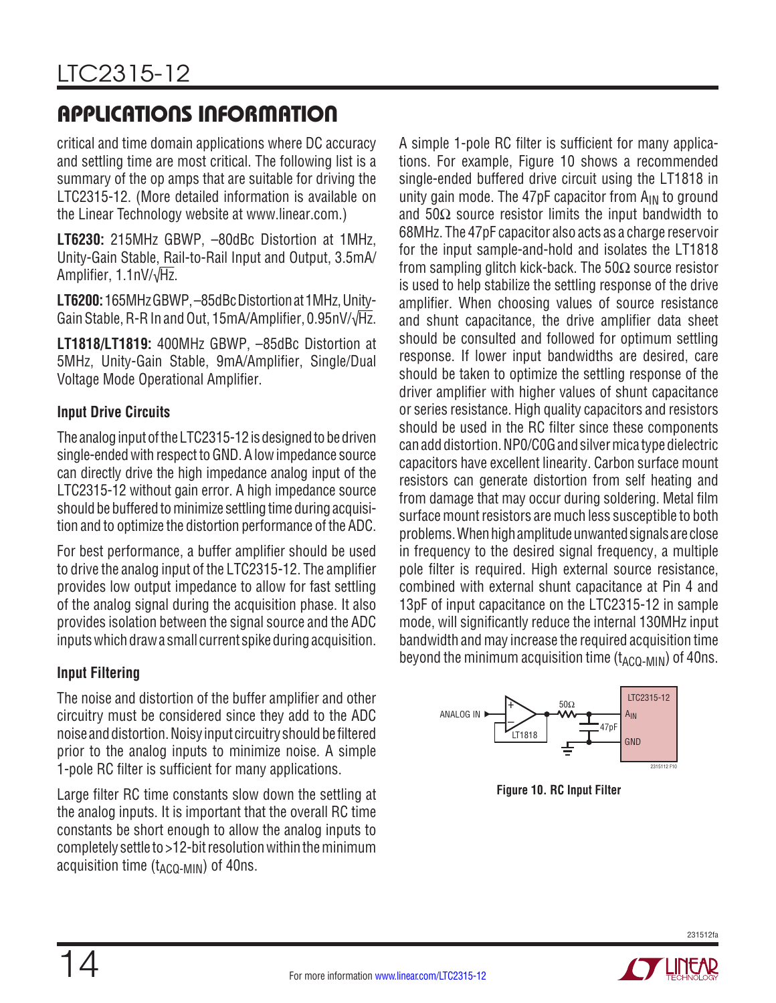critical and time domain applications where DC accuracy and settling time are most critical. The following list is a summary of the op amps that are suitable for driving the LTC2315-12. (More detailed information is available on the Linear Technology website at www.linear.com.)

**LT6230:** 215MHz GBWP, –80dBc Distortion at 1MHz, Unity-Gain Stable, Rail-to-Rail Input and Output, 3.5mA/ Amplifier, 1.1nV/√Hz.

**LT6200:** 165MHzGBWP, –85dBcDistortionat 1MHz, Unity-Gain Stable, R-R In and Out, 15mA/Amplifier, 0.95nV/√Hz.

**LT1818/LT1819:** 400MHz GBWP, –85dBc Distortion at 5MHz, Unity-Gain Stable, 9mA/Amplifier, Single/Dual Voltage Mode Operational Amplifier.

### **Input Drive Circuits**

The analog input of the LTC2315-12 is designed to be driven single-ended with respect to GND. A low impedance source can directly drive the high impedance analog input of the LTC2315-12 without gain error. A high impedance source should be buffered to minimize settling time during acquisition and to optimize the distortion performance of the ADC.

For best performance, a buffer amplifier should be used to drive the analog input of the LTC2315-12. The amplifier provides low output impedance to allow for fast settling of the analog signal during the acquisition phase. It also provides isolation between the signal source and the ADC inputs which draw a small current spike during acquisition.

### **Input Filtering**

The noise and distortion of the buffer amplifier and other circuitry must be considered since they add to the ADC noise and distortion. Noisy input circuitry should be filtered prior to the analog inputs to minimize noise. A simple 1-pole RC filter is sufficient for many applications.

Large filter RC time constants slow down the settling at the analog inputs. It is important that the overall RC time constants be short enough to allow the analog inputs to completely settle to >12-bit resolution within the minimum acquisition time  $(t_{ACO-MIN})$  of 40ns.

A simple 1-pole RC filter is sufficient for many applications. For example, Figure 10 shows a recommended single-ended buffered drive circuit using the LT1818 in unity gain mode. The 47pF capacitor from  $A_{IN}$  to ground and  $50\Omega$  source resistor limits the input bandwidth to 68MHz. The 47pF capacitor also acts as a charge reservoir for the input sample-and-hold and isolates the LT1818 from sampling glitch kick-back. The  $50\Omega$  source resistor is used to help stabilize the settling response of the drive amplifier. When choosing values of source resistance and shunt capacitance, the drive amplifier data sheet should be consulted and followed for optimum settling response. If lower input bandwidths are desired, care should be taken to optimize the settling response of the driver amplifier with higher values of shunt capacitance or series resistance. High quality capacitors and resistors should be used in the RC filter since these components can add distortion. NP0/C0G and silver mica type dielectric capacitors have excellent linearity. Carbon surface mount resistors can generate distortion from self heating and from damage that may occur during soldering. Metal film surface mount resistors are much less susceptible to both problems. Whenhighamplitudeunwantedsignalsareclose in frequency to the desired signal frequency, a multiple pole filter is required. High external source resistance, combined with external shunt capacitance at Pin 4 and 13pF of input capacitance on the LTC2315-12 in sample mode, will significantly reduce the internal 130MHz input bandwidth and may increase the required acquisition time beyond the minimum acquisition time  $(t_{ACO-MIN})$  of 40ns.



**Figure 10. RC Input Filter**

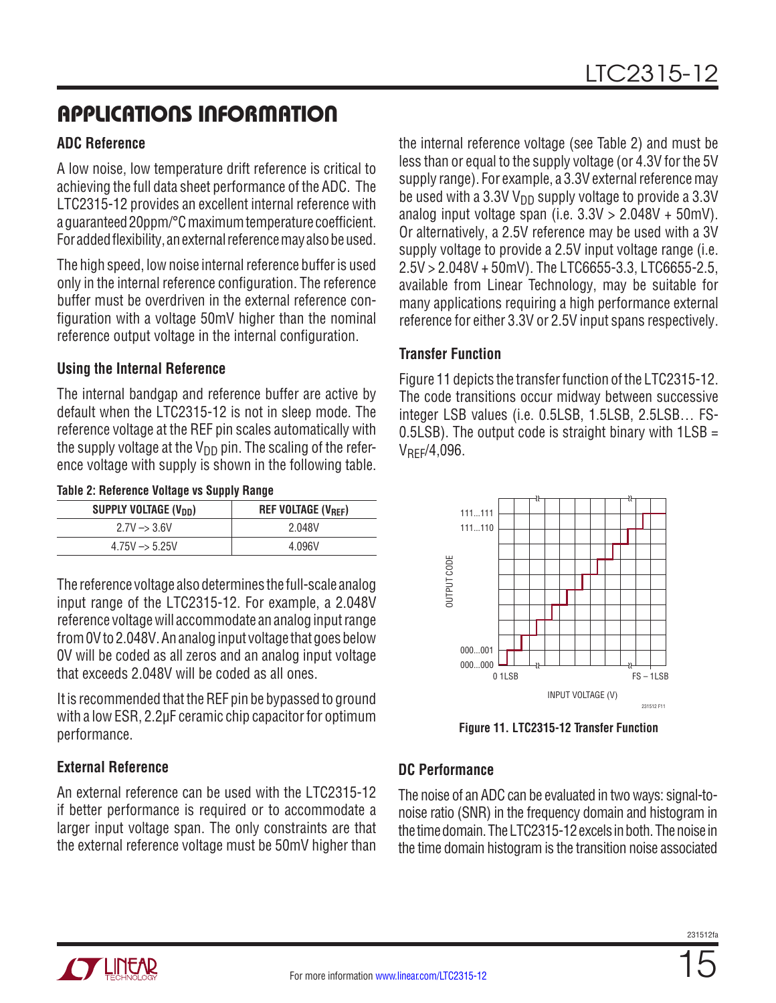#### **ADC Reference**

A low noise, low temperature drift reference is critical to achieving the full data sheet performance of the ADC. The LTC2315-12 provides an excellent internal reference with a guaranteed 20ppm/°C maximumtemperaturecoefficient. For added flexibility, an external reference may also be used.

The high speed, low noise internal reference buffer is used only in the internal reference configuration. The reference buffer must be overdriven in the external reference configuration with a voltage 50mV higher than the nominal reference output voltage in the internal configuration.

#### **Using the Internal Reference**

The internal bandgap and reference buffer are active by default when the LTC2315-12 is not in sleep mode. The reference voltage at the REF pin scales automatically with the supply voltage at the  $V_{DD}$  pin. The scaling of the reference voltage with supply is shown in the following table.

|  |  |  | Table 2: Reference Voltage vs Supply Range |
|--|--|--|--------------------------------------------|
|--|--|--|--------------------------------------------|

| SUPPLY VOLTAGE (V <sub>DD</sub> ) | <b>REF VOLTAGE (V<sub>REF</sub>)</b> |
|-----------------------------------|--------------------------------------|
| $2.7V \rightarrow 3.6V$           | 2.048V                               |
| $4.75V \rightarrow 5.25V$         | 4.096V                               |

The reference voltage alsodetermines the full-scale analog input range of the LTC2315-12. For example, a 2.048V reference voltage will accommodate an analog input range from 0V to 2.048V. An analog input voltage that goes below 0V will be coded as all zeros and an analog input voltage that exceeds 2.048V will be coded as all ones.

It is recommended that the REF pin be bypassed to ground with a low ESR, 2.2µF ceramic chip capacitor for optimum performance.

#### **External Reference**

An external reference can be used with the LTC2315-12 if better performance is required or to accommodate a larger input voltage span. The only constraints are that the external reference voltage must be 50mV higher than

the internal reference voltage (see Table 2) and must be less than or equal to the supply voltage (or 4.3V for the 5V supply range). For example, a 3.3V external reference may be used with a 3.3V  $V_{DD}$  supply voltage to provide a 3.3V analog input voltage span (i.e.  $3.3V > 2.048V + 50mV$ ). Or alternatively, a 2.5V reference may be used with a 3V supply voltage to provide a 2.5V input voltage range (i.e. 2.5V > 2.048V + 50mV). The LTC6655-3.3, LTC6655-2.5, available from Linear Technology, may be suitable for many applications requiring a high performance external reference for either 3.3V or 2.5V input spans respectively.

#### **Transfer Function**

Figure 11 depicts the transfer function of the LTC2315-12. The code transitions occur midway between successive integer LSB values (i.e. 0.5LSB, 1.5LSB, 2.5LSB… FS-0.5LSB). The output code is straight binary with  $1LSB =$  $V_{RFF}/4,096.$ 



**Figure 11. LTC2315-12 Transfer Function**

#### **DC Performance**

The noise of an ADC can be evaluated in twoways: signal-tonoise ratio (SNR) in the frequency domain and histogram in the time domain. The LTC2315-12 excels in both. The noise in the time domain histogram is the transition noise associated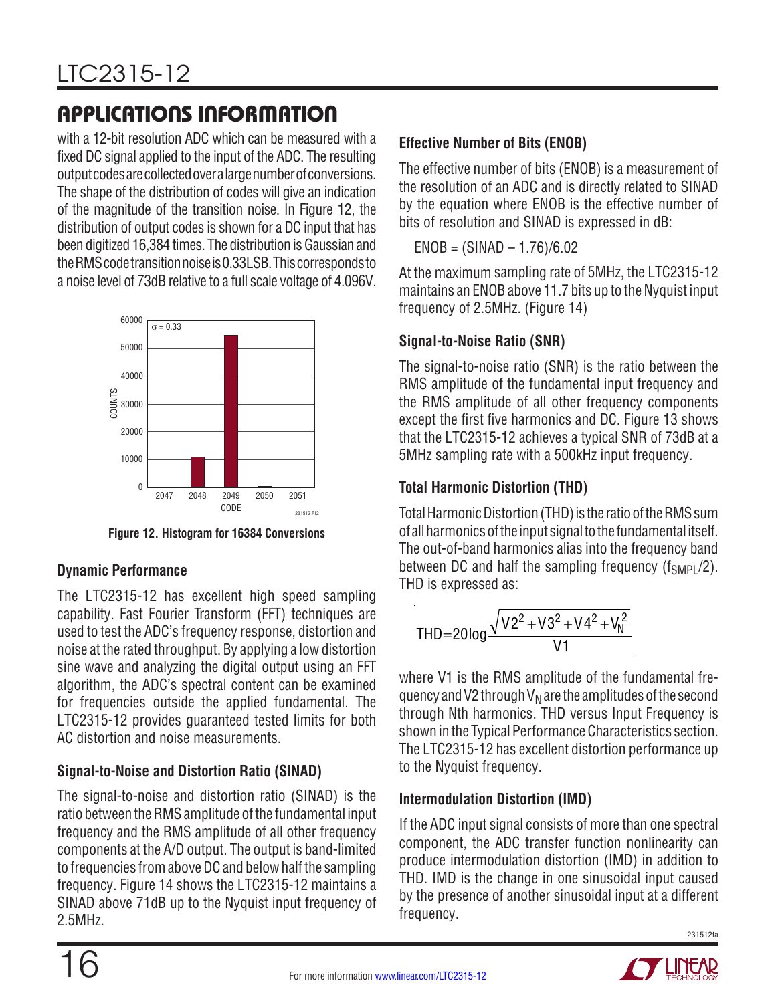with a 12-bit resolution ADC which can be measured with a fixed DC signal applied to the input of the ADC. The resulting outputcodesarecollectedover a largenumberofconversions. The shape of the distribution of codes will give an indication of the magnitude of the transition noise. In Figure 12, the distribution of output codes is shown for a DC input that has been digitized 16,384 times. The distribution is Gaussian and theRMScodetransitionnoiseis 0.33LSB. Thiscorrespondsto a noise level of 73dB relative to a full scale voltage of 4.096V.



**Figure 12. Histogram for 16384 Conversions**

### **Dynamic Performance**

The LTC2315-12 has excellent high speed sampling capability. Fast Fourier Transform (FFT) techniques are used to test the ADC's frequency response, distortion and noise at the rated throughput. By applying a low distortion sine wave and analyzing the digital output using an FFT algorithm, the ADC's spectral content can be examined for frequencies outside the applied fundamental. The LTC2315-12 provides guaranteed tested limits for both AC distortion and noise measurements.

### **Signal-to-Noise and Distortion Ratio (SINAD)**

The signal-to-noise and distortion ratio (SINAD) is the ratio between the RMS amplitude of the fundamental input frequency and the RMS amplitude of all other frequency components at the A/D output. The output is band-limited to frequencies from above DC and below half the sampling frequency. Figure 14 shows the LTC2315-12 maintains a SINAD above 71dB up to the Nyquist input frequency of 2.5MHz.

### **Effective Number of Bits (ENOB)**

The effective number of bits (ENOB) is a measurement of the resolution of an ADC and is directly related to SINAD by the equation where ENOB is the effective number of bits of resolution and SINAD is expressed in dB:

 $ENOB = (SINAD - 1.76)/6.02$ 

At the maximum sampling rate of 5MHz, the LTC2315-12 maintains an ENOB above 11.7 bits up to the Nyquist input frequency of 2.5MHz. (Figure 14)

### **Signal-to-Noise Ratio (SNR)**

The signal-to-noise ratio (SNR) is the ratio between the RMS amplitude of the fundamental input frequency and the RMS amplitude of all other frequency components except the first five harmonics and DC. Figure 13 shows that the LTC2315-12 achieves a typical SNR of 73dB at a 5MHz sampling rate with a 500kHz input frequency.

### **Total Harmonic Distortion (THD)**

Total Harmonic Distortion (THD) is the ratio of the RMS sum of allharmonicsofthe input signaltothe fundamentalitself. The out-of-band harmonics alias into the frequency band between DC and half the sampling frequency  $(f_{SMP}/2)$ . THD is expressed as:

$$
THD = 20 \log \frac{\sqrt{V2^2 + V3^2 + V4^2 + V_N^2}}{V1}
$$

where V1 is the RMS amplitude of the fundamental frequency and V2 through  $V_N$  are the amplitudes of the second through Nth harmonics. THD versus Input Frequency is shown in the Typical Performance Characteristics section. The LTC2315-12 has excellent distortion performance up to the Nyquist frequency.

### **Intermodulation Distortion (IMD)**

If the ADC input signal consists of more than one spectral component, the ADC transfer function nonlinearity can produce intermodulation distortion (IMD) in addition to THD. IMD is the change in one sinusoidal input caused by the presence of another sinusoidal input at a different frequency.

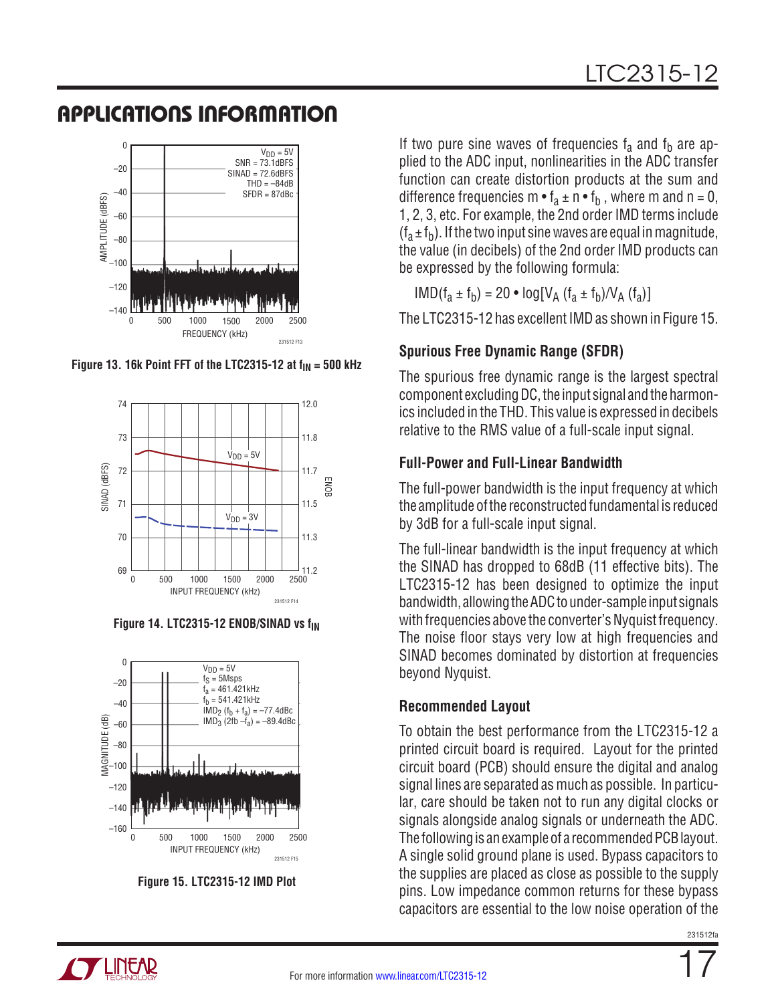

Figure 13. 16k Point FFT of the LTC2315-12 at  $f_{IN} = 500$  kHz



**Figure 14. LTC2315-12 ENOB/SINAD vs f<sub>IN</sub>** 



**Figure 15. LTC2315-12 IMD Plot**

If two pure sine waves of frequencies  $f_a$  and  $f_b$  are applied to the ADC input, nonlinearities in the ADC transfer function can create distortion products at the sum and difference frequencies m  $\bullet$  f<sub>a</sub>  $\pm$  n  $\bullet$  f<sub>b</sub>, where m and n = 0, 1, 2, 3, etc. For example, the 2nd order IMD terms include  $(f_a \pm f_b)$ . If the two input sine waves are equal in magnitude, the value (in decibels) of the 2nd order IMD products can be expressed by the following formula:

 $IMD(f<sub>a</sub> \pm f<sub>b</sub>) = 20 \cdot log[V<sub>A</sub> (f<sub>a</sub> \pm f<sub>b</sub>)/V<sub>A</sub> (f<sub>a</sub>)]$ 

The LTC2315-12 has excellent IMD as shown in Figure 15.

### **Spurious Free Dynamic Range (SFDR)**

The spurious free dynamic range is the largest spectral component excluding DC, the input signal and the harmonics included in the THD. This value is expressed in decibels relative to the RMS value of a full-scale input signal.

### **Full-Power and Full-Linear Bandwidth**

The full-power bandwidth is the input frequency at which the amplitude ofthe reconstructed fundamental is reduced by 3dB for a full-scale input signal.

The full-linear bandwidth is the input frequency at which the SINAD has dropped to 68dB (11 effective bits). The LTC2315-12 has been designed to optimize the input bandwidth, allowing the ADC to under-sample input signals with frequencies above the converter's Nyquist frequency. The noise floor stays very low at high frequencies and SINAD becomes dominated by distortion at frequencies beyond Nyquist.

### **Recommended Layout**

To obtain the best performance from the LTC2315-12 a printed circuit board is required. Layout for the printed circuit board (PCB) should ensure the digital and analog signal lines are separated as much as possible. In particular, care should be taken not to run any digital clocks or signals alongside analog signals or underneath the ADC. The following is an example of a recommended PCB layout. A single solid ground plane is used. Bypass capacitors to the supplies are placed as close as possible to the supply pins. Low impedance common returns for these bypass capacitors are essential to the low noise operation of the

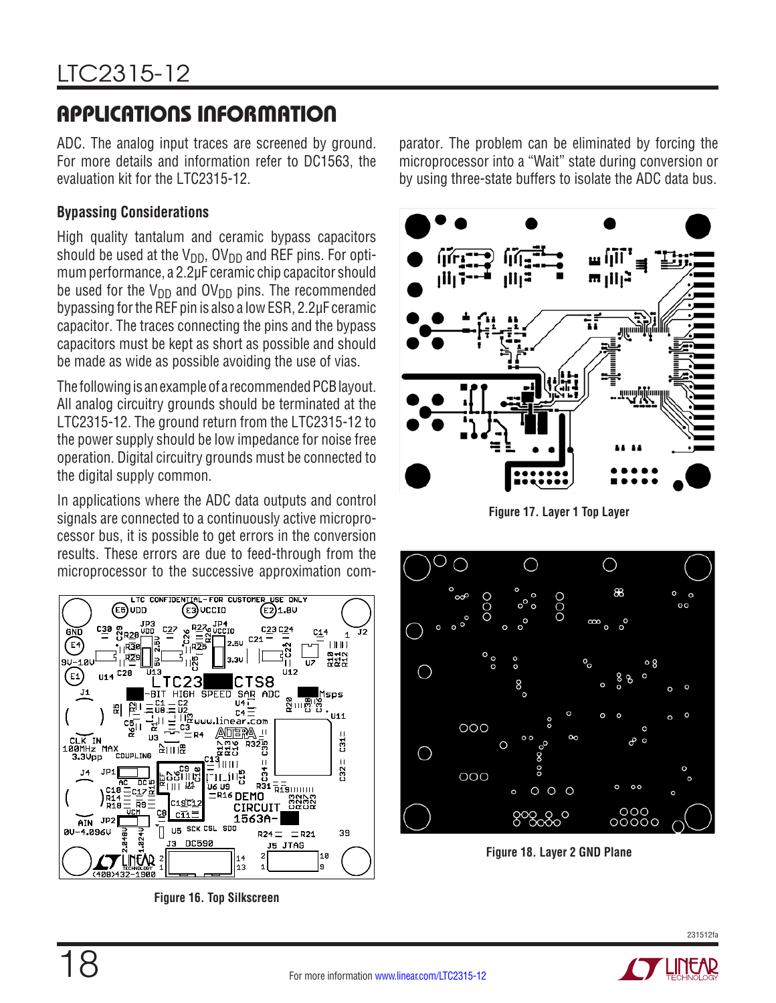ADC. The analog input traces are screened by ground. For more details and information refer to DC1563, the evaluation kit for the LTC2315-12.

#### **Bypassing Considerations**

High quality tantalum and ceramic bypass capacitors should be used at the  $V_{DD}$ , OV<sub>DD</sub> and REF pins. For optimum performance, a 2.2µF ceramic chip capacitor should be used for the  $V_{DD}$  and  $OV_{DD}$  pins. The recommended bypassing for the REF pin is also a low ESR, 2.2µF ceramic capacitor. The traces connecting the pins and the bypass capacitors must be kept as short as possible and should be made as wide as possible avoiding the use of vias.

The following is an example of a recommended PCB layout. All analog circuitry grounds should be terminated at the LTC2315-12. The ground return from the LTC2315-12 to the power supply should be low impedance for noise free operation. Digital circuitry grounds must be connected to the digital supply common.

In applications where the ADC data outputs and control signals are connected to a continuously active microprocessor bus, it is possible to get errors in the conversion results. These errors are due to feed-through from the microprocessor to the successive approximation com-



**Figure 16. Top Silkscreen** 

parator. The problem can be eliminated by forcing the microprocessor into a "Wait" state during conversion or by using three-state buffers to isolate the ADC data bus.



**Figure 17. Layer 1 Top Layer**



**Figure 18. Layer 2 GND Plane**



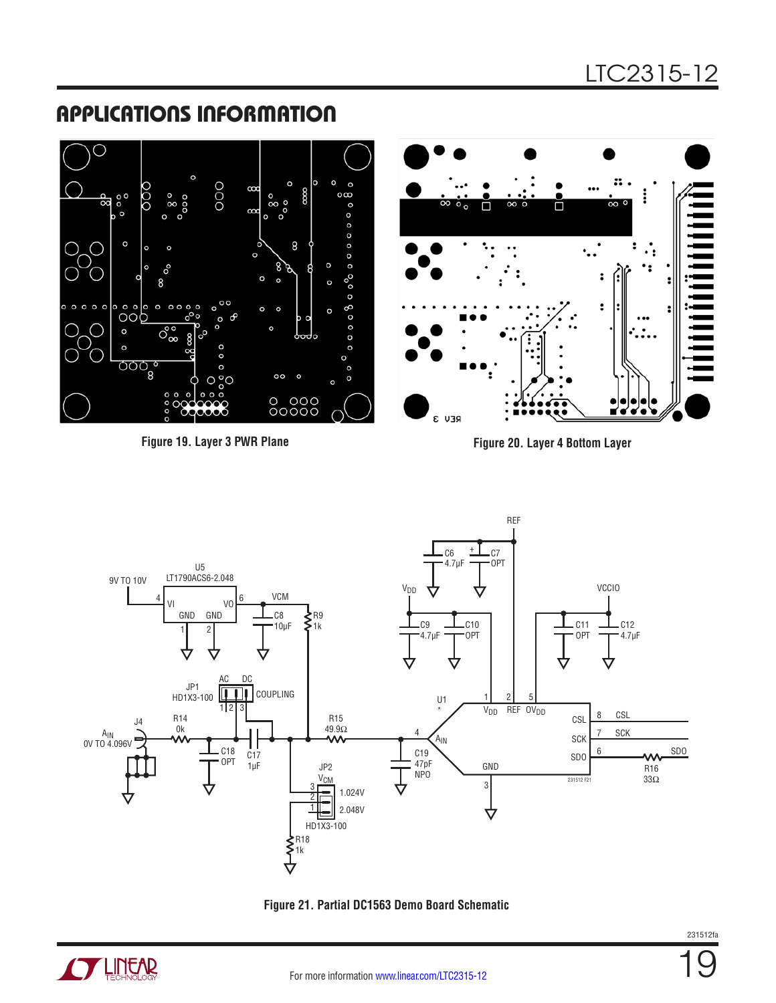#### OOO  $\circ$  $\circ$ 80  $\circ \infty$  $\vdots$  $\frac{0}{0}$ ඍ  $\circ$  $\circ$ П П  $\infty$  $\circ$  $\begin{array}{cccccccccccccc} 0 & 0 & 0 & 0 & 0 & 0 & 0 \end{array}$ 8 ٠. o  $\overline{\cdot}$  $0^{\circ}$  $\ddot{\cdot}$  $\circ$  $\circ$ Q  $\circ$ ြီ ၁၀၉  $8^{\circ}$ :  $\Omega$  $\circ$  $\circ$  $\overline{\mathcal{O}_{\infty}^{\circ}}$  $\circ$  $\circ$ ၀၀၀ွ  $\circ$  $\circ$  $\circ$  $\circ$  $\circ$ 0 000<br>00000 Ĥ 'a 'n REV<sub>3</sub>

APPLICATIONS INFORMATION

**Figure 19. Layer 3 PWR Plane Figure 20. Layer 4 Bottom Layer**





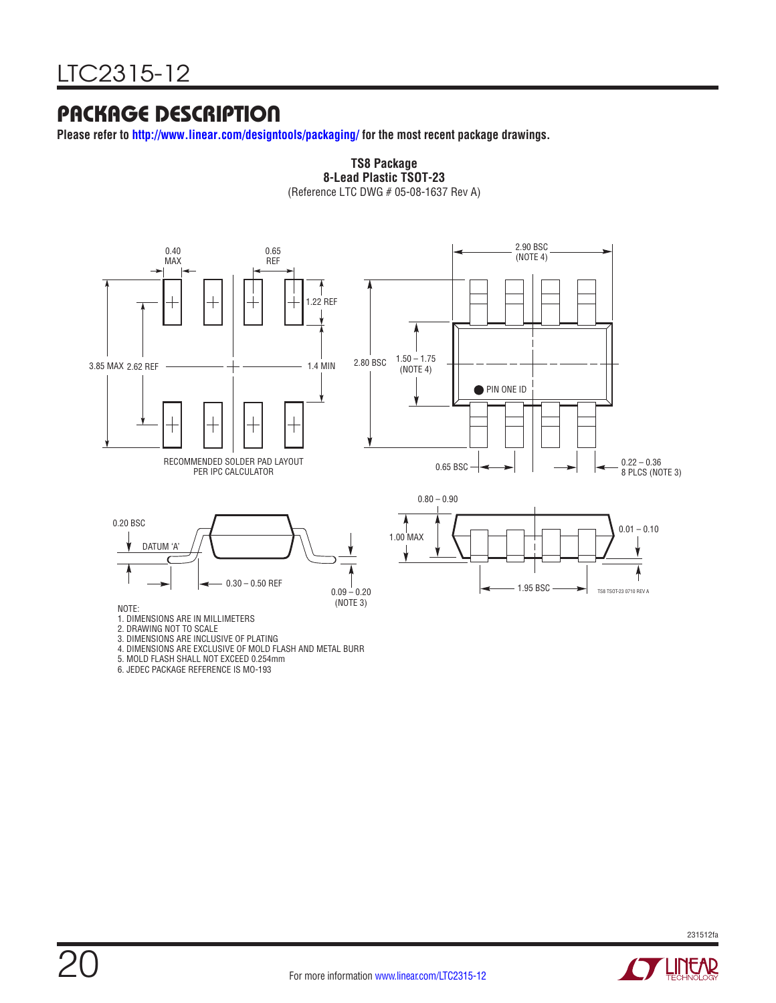## PACKAGE DESCRIPTION

**Please refer to http://www.linear.com/designtools/packaging/ for the most recent package drawings.**



**TS8 Package 8-Lead Plastic TSOT-23**

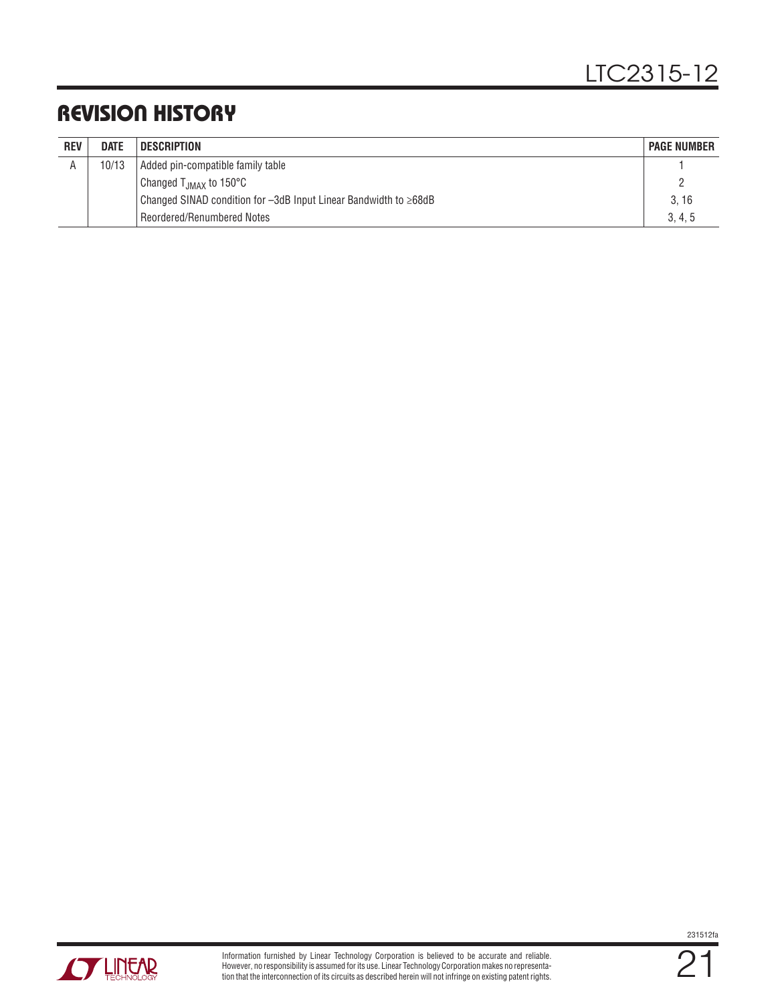# REVISION HISTORY

| <b>REV</b> | <b>DATE</b> | <b>DESCRIPTION</b>                                                       | <b>PAGE NUMBER</b> |
|------------|-------------|--------------------------------------------------------------------------|--------------------|
| A          | 10/13       | Added pin-compatible family table                                        |                    |
|            |             | Changed T <sub>JMAX</sub> to 150°C                                       |                    |
|            |             | Changed SINAD condition for $-3dB$ Input Linear Bandwidth to $\geq 68dB$ | 3.16               |
|            |             | Reordered/Renumbered Notes                                               | 3, 4, 5            |